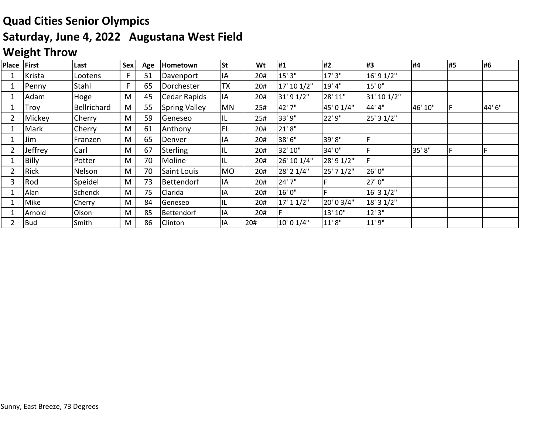# **Quad Cities Senior Olympics Saturday, June 4, 2022 Augustana West Field**

### **Weight Throw**

| Place | First        | Last        | Sex | Age | Hometown             | <b>St</b> | Wt  | #1          | #2         | #3          | #4      | #5 | #6     |
|-------|--------------|-------------|-----|-----|----------------------|-----------|-----|-------------|------------|-------------|---------|----|--------|
|       | Krista       | Lootens     | F   | 51  | Davenport            | IA        | 20# | 15' 3"      | 17' 3"     | 16' 9 1/2"  |         |    |        |
|       | Penny        | Stahl       | F   | 65  | Dorchester           | <b>TX</b> | 20# | 17' 10 1/2" | 19' 4"     | 15'0"       |         |    |        |
|       | Adam         | Hoge        | M   | 45  | Cedar Rapids         | IA        | 20# | 31' 9 1/2"  | 28' 11"    | 31' 10 1/2" |         |    |        |
|       | Troy         | Bellrichard | M   | 55  | <b>Spring Valley</b> | <b>MN</b> | 25# | 42' 7"      | 45' 0 1/4" | 44' 4"      | 46' 10" |    | 44' 6" |
|       | Mickey       | Cherry      | M   | 59  | Geneseo              | IL.       | 25# | 33' 9"      | 22' 9"     | 25' 3 1/2"  |         |    |        |
|       | Mark         | Cherry      | M   | 61  | Anthony              | <b>FL</b> | 20# | 21'8"       |            |             |         |    |        |
|       | Jim          | Franzen     | M   | 65  | Denver               | IA        | 20# | 38' 6"      | 39'8"      |             |         |    |        |
|       | Jeffrey      | Carl        | M   | 67  | Sterling             | IL        | 20# | 32' 10"     | 34'0"      |             | 35' 8"  |    |        |
|       | <b>Billy</b> | Potter      | M   | 70  | Moline               | IL        | 20# | 26' 10 1/4" | 28' 9 1/2" | F           |         |    |        |
|       | Rick         | Nelson      | M   | 70  | Saint Louis          | <b>MO</b> | 20# | 28' 2 1/4"  | 25' 7 1/2" | 26' 0"      |         |    |        |
| 3     | Rod          | Speidel     | M   | 73  | Bettendorf           | IA        | 20# | 24' 7"      |            | 27'0"       |         |    |        |
|       | Alan         | Schenck     | M   | 75  | Clarida              | IA        | 20# | 16' 0"      |            | 16' 3 1/2"  |         |    |        |
|       | Mike         | Cherry      | M   | 84  | Geneseo              | IL        | 20# | 17' 11/2"   | 20' 0 3/4" | 18' 3 1/2"  |         |    |        |
|       | Arnold       | Olson       | M   | 85  | <b>Bettendorf</b>    | IA        | 20# |             | 13' 10"    | 12' 3"      |         |    |        |
|       | <b>Bud</b>   | Smith       | M   | 86  | Clinton              | IA        | 20# | 10' 0 1/4"  | 11'8"      | 11'9"       |         |    |        |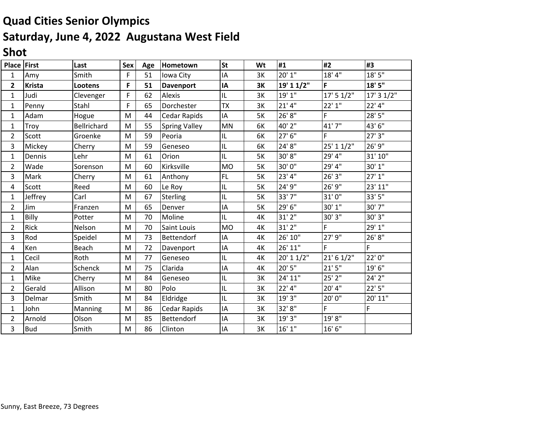## **Quad Cities Senior Olympics Saturday, June 4, 2022 Augustana West Field**

### **Shot**

| Place          | <b>First</b>  | Last        | Sex | Age | Hometown             | <b>St</b>                         | Wt        | #1         | #2          | #3         |
|----------------|---------------|-------------|-----|-----|----------------------|-----------------------------------|-----------|------------|-------------|------------|
| 1              | Amy           | Smith       | F   | 51  | Iowa City            | ΙA                                | 3K        | 20' 1"     | 18' 4"      | 18'5''     |
| $\mathbf{2}$   | <b>Krista</b> | Lootens     | F   | 51  | <b>Davenport</b>     | IA                                | 3K        | 19' 1 1/2" | F           | 18' 5"     |
| $\mathbf{1}$   | Judi          | Clevenger   | F   | 62  | Alexis               | $\ensuremath{\mathsf{IL}}\xspace$ | 3K        | 19'1''     | 17' 5 1/2"  | 17' 3 1/2" |
| 1              | Penny         | Stahl       | F   | 65  | Dorchester           | <b>TX</b>                         | 3K        | 21'4"      | 22'1''      | $22'$ 4"   |
| 1              | Adam          | Hogue       | M   | 44  | Cedar Rapids         | ΙA                                | 5K        | 26' 8"     | F           | 28' 5"     |
| 1              | Troy          | Bellrichard | M   | 55  | <b>Spring Valley</b> | MN                                | 6K        | 40' 2"     | 41'7"       | 43'6"      |
| $\overline{2}$ | Scott         | Groenke     | М   | 59  | Peoria               | $\ensuremath{\mathsf{IL}}\xspace$ | 6K        | 27'6''     | F           | 27' 3"     |
| 3              | Mickey        | Cherry      | M   | 59  | Geneseo              | IL                                | 6K        | 24' 8"     | 25' 1 1/2"  | 26' 9"     |
| 1              | Dennis        | Lehr        | М   | 61  | Orion                | IL                                | 5K        | 30' 8"     | 29' 4"      | 31' 10"    |
| 2              | Wade          | Sorenson    | М   | 60  | Kirksville           | <b>MO</b>                         | 5K        | 30'0"      | 29' 4"      | 30' 1"     |
| 3              | Mark          | Cherry      | M   | 61  | Anthony              | FL                                | 5K        | 23'4"      | 26' 3"      | 27'1''     |
| 4              | Scott         | Reed        | M   | 60  | Le Roy               | IL                                | <b>5K</b> | 24' 9"     | 26' 9"      | 23' 11"    |
| 1              | Jeffrey       | Carl        | M   | 67  | Sterling             | $\sf IL$                          | 5K        | 33'7"      | 31'0"       | 33' 5"     |
| 2              | Jim           | Franzen     | M   | 65  | Denver               | ΙA                                | 5K        | 29' 6"     | 30' 1"      | 30' 7"     |
| $\mathbf{1}$   | Billy         | Potter      | M   | 70  | Moline               | IL                                | 4K        | 31' 2"     | 30' 3"      | 30' 3"     |
| 2              | Rick          | Nelson      | M   | 70  | Saint Louis          | <b>MO</b>                         | 4K        | $31'$ $2"$ | F           | 29' 1"     |
| 3              | Rod           | Speidel     | M   | 73  | Bettendorf           | ΙA                                | 4K        | 26' 10"    | 27' 9"      | 26'8''     |
| 4              | Ken           | Beach       | М   | 72  | Davenport            | ΙA                                | 4K        | 26' 11"    | F           | F.         |
| $\mathbf{1}$   | Cecil         | Roth        | M   | 77  | Geneseo              | IL                                | 4K        | 20' 1 1/2" | 21' 6 1/2"  | 22'0"      |
| $\overline{2}$ | Alan          | Schenck     | M   | 75  | Clarida              | IA                                | 4K        | 20' 5"     | $21'$ $5''$ | 19'6"      |
| 1              | Mike          | Cherry      | M   | 84  | Geneseo              | IL                                | 3K        | 24' 11"    | $25'$ $2"$  | 24' 2"     |
| 2              | Gerald        | Allison     | M   | 80  | Polo                 | $\ensuremath{\mathsf{IL}}\xspace$ | 3K        | $22'$ 4"   | 20' 4"      | 22'5''     |
| 3              | Delmar        | Smith       | М   | 84  | Eldridge             | IL                                | 3K        | 19' 3"     | 20'0"       | 20' 11"    |
| 1              | John          | Manning     | M   | 86  | Cedar Rapids         | ΙA                                | 3K        | 32' 8"     | F           | F          |
| 2              | Arnold        | Olson       | M   | 85  | Bettendorf           | ΙA                                | 3K        | 19' 3"     | 19'8"       |            |
| 3              | <b>Bud</b>    | Smith       | M   | 86  | Clinton              | IA                                | 3K        | 16' 1''    | 16'6"       |            |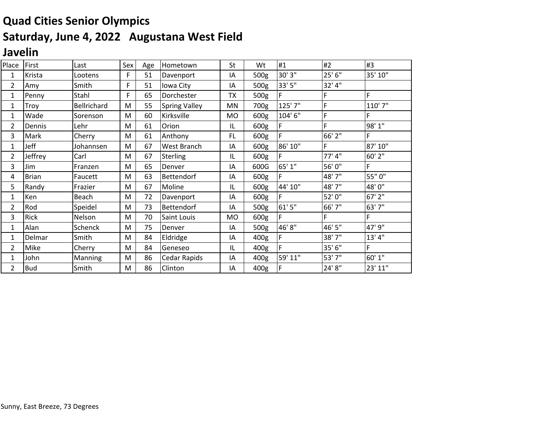# **Quad Cities Senior Olympics Saturday, June 4, 2022 Augustana West Field**

### **Javelin**

| Place          | First        | Last           | Sex | Age | Hometown             | St        | Wt   | #1      | #2     | #3      |
|----------------|--------------|----------------|-----|-----|----------------------|-----------|------|---------|--------|---------|
| 1              | Krista       | Lootens        | F   | 51  | Davenport            | ΙA        | 500g | 30' 3"  | 25' 6" | 35' 10" |
| $\overline{2}$ | Amy          | Smith          | F   | 51  | Iowa City            | ΙA        | 500g | 33' 5"  | 32' 4" |         |
| 1              | Penny        | Stahl          | F   | 65  | Dorchester           | TX        | 500g | F       | F      | F       |
| 1              | Troy         | Bellrichard    | M   | 55  | <b>Spring Valley</b> | MN        | 700g | 125' 7" | F      | 110' 7" |
| 1              | Wade         | Sorenson       | M   | 60  | Kirksville           | MO        | 600g | 104' 6" | F      | F       |
| 2              | Dennis       | Lehr           | M   | 61  | Orion                | IL        | 600g | F       | F      | 98' 1"  |
| 3              | Mark         | Cherry         | M   | 61  | Anthony              | <b>FL</b> | 600g | F       | 66' 2" | F       |
| 1              | Jeff         | Johannsen      | M   | 67  | West Branch          | ΙA        | 600g | 86' 10" | F      | 87' 10" |
| $\overline{2}$ | Jeffrey      | Carl           | M   | 67  | <b>Sterling</b>      | IL        | 600g | F       | 77' 4" | 60' 2"  |
| 3              | Jim          | Franzen        | M   | 65  | Denver               | ΙA        | 600G | 65' 1"  | 56'0"  | F       |
| 4              | <b>Brian</b> | Faucett        | M   | 63  | Bettendorf           | ΙA        | 600g | F       | 48' 7" | 55" 0"  |
| 5              | Randy        | Frazier        | M   | 67  | Moline               | IL        | 600g | 44' 10" | 48' 7" | 48'0"   |
| 1              | Ken          | <b>Beach</b>   | M   | 72  | Davenport            | ΙA        | 600g | F       | 52'0"  | 67' 2"  |
| 2              | Rod          | Speidel        | M   | 73  | Bettendorf           | I٨        | 500g | 61'5"   | 66'7"  | 63'7"   |
| 3              | Rick         | Nelson         | M   | 70  | Saint Louis          | MO        | 600g | F       | F      | F       |
| 1              | Alan         | Schenck        | M   | 75  | Denver               | ΙA        | 500g | 46'8"   | 46'5"  | 47' 9"  |
| 1              | Delmar       | Smith          | M   | 84  | Eldridge             | IA        | 400g | F       | 38' 7" | 13' 4'' |
| 2              | Mike         | Cherry         | M   | 84  | Geneseo              | IL        | 400g | F       | 35' 6" | F       |
| 1              | John         | <b>Manning</b> | M   | 86  | Cedar Rapids         | ΙA        | 400g | 59' 11" | 53'7"  | 60' 1"  |
| 2              | <b>Bud</b>   | Smith          | M   | 86  | Clinton              | IΑ        | 400g |         | 24' 8" | 23' 11" |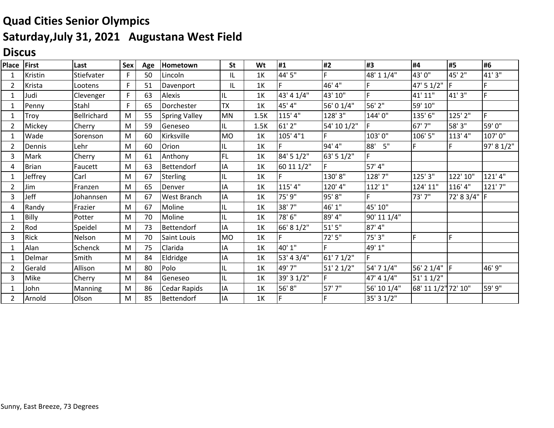## **Quad Cities Senior Olympics Saturday,July 31, 2021 Augustana West Field**

### **Discus**

| Place         | First        | Last           | Sex         | Age | Hometown             | <b>St</b> | Wt   | #1         | #2             | #3          | #4                  | #5           | #6         |
|---------------|--------------|----------------|-------------|-----|----------------------|-----------|------|------------|----------------|-------------|---------------------|--------------|------------|
| 1             | Kristin      | Stiefvater     | F           | 50  | Lincoln              | IL        | 1K   | 44' 5"     |                | 48' 1 1/4"  | 43'0"               | 45' 2"       | 41'3"      |
| 2             | Krista       | Lootens        | F           | 51  | Davenport            | IL        | 1K   | F          | 46' 4"         |             | 47' 5 1/2"          |              |            |
| 1             | Judi         | Clevenger      | $\mathsf F$ | 63  | Alexis               | IL        | 1K   | 43' 4 1/4" | 43' 10"        | F.          | 41' 11"             | 41'3"        | F.         |
|               | Penny        | Stahl          | $\mathsf F$ | 65  | Dorchester           | <b>TX</b> | 1K   | 45' 4"     | 56' 0 1/4"     | 56' 2"      | 59' 10"             |              |            |
| -1            | Troy         | Bellrichard    | M           | 55  | <b>Spring Valley</b> | <b>MN</b> | 1.5K | 115' 4"    | 128'3"         | 144'0"      | 135'6"              | 125' 2"      | F.         |
| 2             | Mickey       | Cherry         | M           | 59  | Geneseo              | IL.       | 1.5K | $61'$ 2"   | 54' 10 1/2"    |             | 67' 7"              | 58' 3"       | 59'0"      |
|               | Wade         | Sorenson       | M           | 60  | Kirksville           | MO        | 1K   | 105' 4"1   |                | 103'0"      | 106' 5"             | 113' 4"      | 107'0"     |
| 2             | Dennis       | Lehr           | M           | 60  | Orion                | IL        | 1K   | F          | 94'4"          | 5"<br>88'   | F                   |              | 97' 8 1/2" |
| 3             | Mark         | Cherry         | M           | 61  | Anthony              | <b>FL</b> | 1K   | 84' 5 1/2" | 63' 5 1/2"     | F.          |                     |              |            |
| 4             | <b>Brian</b> | Faucett        | M           | 63  | Bettendorf           | IA        | 1K   | 60 11 1/2" |                | 57' 4"      |                     |              |            |
|               | Jeffrey      | Carl           | M           | 67  | <b>Sterling</b>      | IL        | 1K   |            | 130'8"         | 128' 7"     | 125' 3"             | 122' 10"     | 121'4"     |
| 2             | Jim          | Franzen        | M           | 65  | Denver               | ΙA        | 1K   | 115' 4"    | 120' 4"        | 112'1''     | 124' 11"            | 116' 4"      | 121'7"     |
| 3             | Jeff         | Johannsen      | M           | 67  | West Branch          | IA        | 1K   | 75' 9"     | 95'8"          |             | 73'7"               | 72' 8 3/4" F |            |
| 4             | Randy        | Frazier        | M           | 67  | Moline               | IL        | 1K   | 38'7"      | 46' 1"         | 45' 10"     |                     |              |            |
|               | Billy        | Potter         | M           | 70  | Moline               | IL        | 1K   | 78' 6"     | 89' 4"         | 90' 11 1/4" |                     |              |            |
| $\mathcal{P}$ | Rod          | Speidel        | M           | 73  | Bettendorf           | IA        | 1K   | 66' 8 1/2" | 51'5''         | 87'4"       |                     |              |            |
| 3             | <b>Rick</b>  | Nelson         | M           | 70  | Saint Louis          | <b>MO</b> | 1K   | F          | 72'5"          | 75' 3"      | F                   | F            |            |
|               | Alan         | Schenck        | M           | 75  | Clarida              | IA        | 1K   | 40' 1"     |                | 49' 1"      |                     |              |            |
|               | Delmar       | Smith          | M           | 84  | Eldridge             | IA        | 1K   | 53' 4 3/4" | 61' 7 1/2"     | F           |                     |              |            |
|               | Gerald       | Allison        | M           | 80  | Polo                 | IL        | 1K   | 49' 7"     | $51'$ 2 $1/2"$ | 54' 7 1/4"  | 56' 2 1/4" F        |              | 46' 9"     |
| 3             | Mike         | Cherry         | M           | 84  | Geneseo              | IL        | 1K   | 39' 3 1/2" |                | 47' 4 1/4"  | 51' 1 1/2"          |              |            |
|               | John         | <b>Manning</b> | M           | 86  | Cedar Rapids         | IA        | 1K   | 56'8"      | 57'7"          | 56' 10 1/4" | 68' 11 1/2" 72' 10" |              | 59' 9"     |
| 2             | Arnold       | Olson          | M           | 85  | Bettendorf           | ΙA        | 1K   | F          |                | 35' 3 1/2"  |                     |              |            |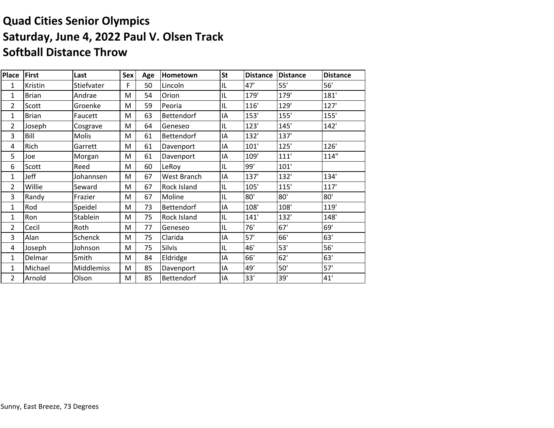### **Quad Cities Senior Olympics Saturday, June 4, 2022 Paul V. Olsen Track Softball Distance Throw**

| <b>Place</b>   | First        | Last         | Sex | Age | Hometown          | <b>St</b> | <b>Distance</b> | <b>Distance</b> | <b>Distance</b> |
|----------------|--------------|--------------|-----|-----|-------------------|-----------|-----------------|-----------------|-----------------|
| 1              | Kristin      | Stiefvater   | F   | 50  | Lincoln           | IL        | 47'             | 55'             | 56'             |
| 1              | <b>Brian</b> | Andrae       | M   | 54  | Orion             | IL        | 179'            | 179'            | 181'            |
| $\overline{2}$ | Scott        | Groenke      | M   | 59  | Peoria            | IL        | 116'            | 129'            | 127'            |
| 1              | <b>Brian</b> | Faucett      | M   | 63  | <b>Bettendorf</b> | IA        | 153'            | 155'            | 155'            |
| 2              | Joseph       | Cosgrave     | M   | 64  | Geneseo           | IL        | 123'            | 145'            | 142'            |
| 3              | Bill         | <b>Molis</b> | M   | 61  | Bettendorf        | IA        | 132'            | 137'            |                 |
| 4              | Rich         | Garrett      | M   | 61  | Davenport         | IA        | 101'            | 125'            | 126'            |
| 5              | Joe          | Morgan       | M   | 61  | Davenport         | IA        | 109'            | 111'            | 114"            |
| 6              | Scott        | Reed         | M   | 60  | LeRoy             | IL        | 99'             | 101'            |                 |
| 1              | Jeff         | Johannsen    | M   | 67  | West Branch       | IA        | 137'            | 132'            | 134'            |
| 2              | Willie       | Seward       | M   | 67  | Rock Island       | IL        | 105'            | 115'            | 117'            |
| 3              | Randy        | Frazier      | M   | 67  | Moline            | IL        | 80'             | 80'             | 80'             |
| 1              | Rod          | Speidel      | M   | 73  | <b>Bettendorf</b> | IA        | 108'            | 108'            | 119'            |
| 1              | Ron          | Stablein     | M   | 75  | Rock Island       | IL        | 141'            | 132'            | 148'            |
| 2              | Cecil        | Roth         | M   | 77  | Geneseo           | IL        | 76'             | 67'             | 69'             |
| 3              | Alan         | Schenck      | M   | 75  | Clarida           | IA        | 57'             | 66'             | 63'             |
| 4              | Joseph       | Johnson      | M   | 75  | Silvis            | IL        | 46'             | 53'             | 56'             |
| 1              | Delmar       | Smith        | M   | 84  | Eldridge          | IA        | 66'             | 62'             | 63'             |
| 1              | Michael      | Middlemiss   | M   | 85  | Davenport         | IA        | 49'             | 50'             | 57'             |
| 2              | Arnold       | Olson        | M   | 85  | Bettendorf        | IA        | 33'             | 39'             | 41'             |